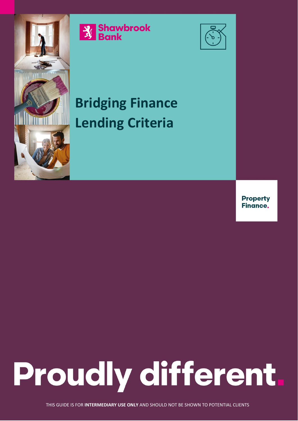

**Strawbrook**<br>3 Bank



## **Bridging Finance Lending Criteria**

**Property Finance.** 

## **Proudly different.**

THIS GUIDE IS FOR **INTERMEDIARY USE ONLY** AND SHOULD NOT BE SHOWN TO POTENTIAL CLIENTS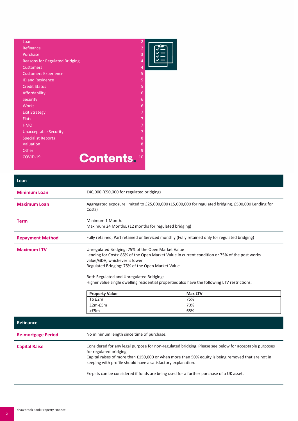| Loan                                  | $\overline{2}$ |  |
|---------------------------------------|----------------|--|
| Refinance                             | $\overline{2}$ |  |
| Purchase                              | 3              |  |
| <b>Reasons for Regulated Bridging</b> | $\overline{4}$ |  |
| <b>Customers</b>                      | $\overline{4}$ |  |
| <b>Customers Experience</b>           | 5              |  |
| <b>ID and Residence</b>               | 5              |  |
| <b>Credit Status</b>                  | 5              |  |
| Affordability                         | 6              |  |
| Security                              | 6              |  |
| <b>Works</b>                          | 6              |  |
| <b>Exit Strategy</b>                  | 7              |  |
| <b>Flats</b>                          | 7              |  |
| <b>HMO</b>                            | 7              |  |
| <b>Unacceptable Security</b>          | 7              |  |
| <b>Specialist Reports</b>             | 8              |  |
| Valuation                             | 8              |  |
| Other                                 | 9              |  |
| <b>Contents.</b><br>COVID-19          | 10             |  |
|                                       |                |  |

| Loan                    |                                                                                                                                                                                                                                                                                                                                                                                       |                |  |
|-------------------------|---------------------------------------------------------------------------------------------------------------------------------------------------------------------------------------------------------------------------------------------------------------------------------------------------------------------------------------------------------------------------------------|----------------|--|
| <b>Minimum Loan</b>     | £40,000 (£50,000 for regulated bridging)                                                                                                                                                                                                                                                                                                                                              |                |  |
| <b>Maximum Loan</b>     | Aggregated exposure limited to £25,000,000 (£5,000,000 for regulated bridging. £500,000 Lending for<br>Costs)                                                                                                                                                                                                                                                                         |                |  |
| <b>Term</b>             | Minimum 1 Month.<br>Maximum 24 Months. (12 months for regulated bridging)                                                                                                                                                                                                                                                                                                             |                |  |
| <b>Repayment Method</b> | Fully retained, Part retained or Serviced monthly (Fully retained only for regulated bridging)                                                                                                                                                                                                                                                                                        |                |  |
| <b>Maximum LTV</b>      | Unregulated Bridging: 75% of the Open Market Value<br>Lending for Costs: 85% of the Open Market Value in current condition or 75% of the post works<br>value/GDV, whichever is lower<br>Regulated Bridging: 75% of the Open Market Value<br>Both Regulated and Unregulated Bridging:<br>Higher value single dwelling residential properties also have the following LTV restrictions: |                |  |
|                         | <b>Property Value</b>                                                                                                                                                                                                                                                                                                                                                                 | <b>Max LTV</b> |  |
|                         | To £2m                                                                                                                                                                                                                                                                                                                                                                                | 75%            |  |
|                         | $£2m-E5m$                                                                                                                                                                                                                                                                                                                                                                             | 70%            |  |
|                         | >E5m                                                                                                                                                                                                                                                                                                                                                                                  | 65%            |  |

| Refinance                 |                                                                                                                                                                                                                                                                                                                                                                                                   |
|---------------------------|---------------------------------------------------------------------------------------------------------------------------------------------------------------------------------------------------------------------------------------------------------------------------------------------------------------------------------------------------------------------------------------------------|
| <b>Re-mortgage Period</b> | No minimum length since time of purchase.                                                                                                                                                                                                                                                                                                                                                         |
| <b>Capital Raise</b>      | Considered for any legal purpose for non-regulated bridging. Please see below for acceptable purposes<br>for regulated bridging.<br>Capital raises of more than £150,000 or when more than 50% equity is being removed that are not in<br>keeping with profile should have a satisfactory explanation.<br>Ex-pats can be considered if funds are being used for a further purchase of a UK asset. |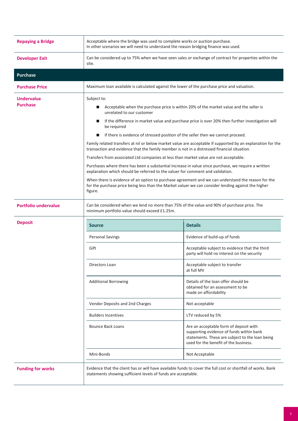| <b>Repaying a Bridge</b>             | Acceptable where the bridge was used to complete works or auction purchase.<br>In other scenarios we will need to understand the reason bridging finance was used.                                                                                                                                                                                                                                                                                                                                                                                                                                                                                                                                                                                                                                                                                                                                                                                                                                                                                                                                |                                                                                                                                                                                |  |
|--------------------------------------|---------------------------------------------------------------------------------------------------------------------------------------------------------------------------------------------------------------------------------------------------------------------------------------------------------------------------------------------------------------------------------------------------------------------------------------------------------------------------------------------------------------------------------------------------------------------------------------------------------------------------------------------------------------------------------------------------------------------------------------------------------------------------------------------------------------------------------------------------------------------------------------------------------------------------------------------------------------------------------------------------------------------------------------------------------------------------------------------------|--------------------------------------------------------------------------------------------------------------------------------------------------------------------------------|--|
| <b>Developer Exit</b>                | Can be considered up to 75% when we have seen sales or exchange of contract for properties within the<br>site.                                                                                                                                                                                                                                                                                                                                                                                                                                                                                                                                                                                                                                                                                                                                                                                                                                                                                                                                                                                    |                                                                                                                                                                                |  |
| <b>Purchase</b>                      |                                                                                                                                                                                                                                                                                                                                                                                                                                                                                                                                                                                                                                                                                                                                                                                                                                                                                                                                                                                                                                                                                                   |                                                                                                                                                                                |  |
| <b>Purchase Price</b>                | Maximum loan available is calculated against the lower of the purchase price and valuation.                                                                                                                                                                                                                                                                                                                                                                                                                                                                                                                                                                                                                                                                                                                                                                                                                                                                                                                                                                                                       |                                                                                                                                                                                |  |
| <b>Undervalue</b><br><b>Purchase</b> | Subject to:<br>Acceptable when the purchase price is within 20% of the market value and the seller is<br>ш<br>unrelated to our customer<br>If the difference in market value and purchase price is over 20% then further investigation will<br><b>Contract Contract</b><br>be required<br>If there is evidence of stressed position of the seller then we cannot proceed.<br>Family related transfers at nil or below market value are acceptable if supported by an explanation for the<br>transaction and evidence that the family member is not in a distressed financial situation.<br>Transfers from associated Ltd companies at less than market value are not acceptable.<br>Purchases where there has been a substantial increase in value since purchase, we require a written<br>explanation which should be referred to the valuer for comment and validation.<br>When there is evidence of an option to purchase agreement and we can understand the reason for the<br>for the purchase price being less than the Market valuer we can consider lending against the higher<br>figure. |                                                                                                                                                                                |  |
| <b>Portfolio undervalue</b>          | Can be considered when we lend no more than 75% of the value and 90% of purchase price. The<br>minimum portfolio value should exceed £1.25m.                                                                                                                                                                                                                                                                                                                                                                                                                                                                                                                                                                                                                                                                                                                                                                                                                                                                                                                                                      |                                                                                                                                                                                |  |
|                                      |                                                                                                                                                                                                                                                                                                                                                                                                                                                                                                                                                                                                                                                                                                                                                                                                                                                                                                                                                                                                                                                                                                   |                                                                                                                                                                                |  |
| <b>Deposit</b>                       | <b>Source</b>                                                                                                                                                                                                                                                                                                                                                                                                                                                                                                                                                                                                                                                                                                                                                                                                                                                                                                                                                                                                                                                                                     | <b>Details</b>                                                                                                                                                                 |  |
|                                      | <b>Personal Savings</b>                                                                                                                                                                                                                                                                                                                                                                                                                                                                                                                                                                                                                                                                                                                                                                                                                                                                                                                                                                                                                                                                           | Evidence of build-up of funds                                                                                                                                                  |  |
|                                      | Gift                                                                                                                                                                                                                                                                                                                                                                                                                                                                                                                                                                                                                                                                                                                                                                                                                                                                                                                                                                                                                                                                                              | Acceptable subject to evidence that the third<br>party will hold no interest on the security                                                                                   |  |
|                                      | Directors Loan                                                                                                                                                                                                                                                                                                                                                                                                                                                                                                                                                                                                                                                                                                                                                                                                                                                                                                                                                                                                                                                                                    | Acceptable subject to transfer<br>at full MV                                                                                                                                   |  |
|                                      | <b>Additional Borrowing</b>                                                                                                                                                                                                                                                                                                                                                                                                                                                                                                                                                                                                                                                                                                                                                                                                                                                                                                                                                                                                                                                                       | Details of the loan offer should be<br>obtained for an assessment to be<br>made on affordability                                                                               |  |
|                                      | Vendor Deposits and 2nd Charges                                                                                                                                                                                                                                                                                                                                                                                                                                                                                                                                                                                                                                                                                                                                                                                                                                                                                                                                                                                                                                                                   | Not acceptable                                                                                                                                                                 |  |
|                                      | <b>Builders Incentives</b>                                                                                                                                                                                                                                                                                                                                                                                                                                                                                                                                                                                                                                                                                                                                                                                                                                                                                                                                                                                                                                                                        | LTV reduced by 5%                                                                                                                                                              |  |
|                                      | <b>Bounce Back Loans</b>                                                                                                                                                                                                                                                                                                                                                                                                                                                                                                                                                                                                                                                                                                                                                                                                                                                                                                                                                                                                                                                                          | Are an acceptable form of deposit with<br>supporting evidence of funds within bank<br>statements. These are subject to the loan being<br>used for the benefit of the business. |  |
|                                      | Mini-Bonds                                                                                                                                                                                                                                                                                                                                                                                                                                                                                                                                                                                                                                                                                                                                                                                                                                                                                                                                                                                                                                                                                        | Not Acceptable                                                                                                                                                                 |  |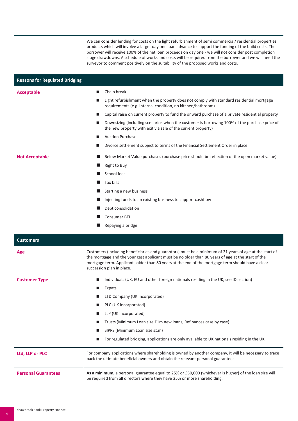|                                       | We can consider lending for costs on the light refurbishment of semi commercial/ residential properties<br>products which will involve a larger day one loan advance to support the funding of the build costs. The<br>borrower will receive 100% of the net loan proceeds on day one - we will not consider post completion<br>stage drawdowns. A schedule of works and costs will be required from the borrower and we will need the<br>surveyor to comment positively on the suitability of the proposed works and costs. |  |  |
|---------------------------------------|------------------------------------------------------------------------------------------------------------------------------------------------------------------------------------------------------------------------------------------------------------------------------------------------------------------------------------------------------------------------------------------------------------------------------------------------------------------------------------------------------------------------------|--|--|
| <b>Reasons for Regulated Bridging</b> |                                                                                                                                                                                                                                                                                                                                                                                                                                                                                                                              |  |  |
| <b>Acceptable</b>                     | Chain break<br>п                                                                                                                                                                                                                                                                                                                                                                                                                                                                                                             |  |  |
|                                       | Light refurbishment when the property does not comply with standard residential mortgage<br>ш<br>requirements (e.g. internal condition, no kitchen/bathroom)                                                                                                                                                                                                                                                                                                                                                                 |  |  |
|                                       | Capital raise on current property to fund the onward purchase of a private residential property<br>ш                                                                                                                                                                                                                                                                                                                                                                                                                         |  |  |
|                                       | Downsizing (including scenarios when the customer is borrowing 100% of the purchase price of<br>the new property with exit via sale of the current property)                                                                                                                                                                                                                                                                                                                                                                 |  |  |
|                                       | <b>Auction Purchase</b>                                                                                                                                                                                                                                                                                                                                                                                                                                                                                                      |  |  |
|                                       | Divorce settlement subject to terms of the Financial Settlement Order in place<br>ш                                                                                                                                                                                                                                                                                                                                                                                                                                          |  |  |
| <b>Not Acceptable</b>                 | Below Market Value purchases (purchase price should be reflection of the open market value)<br>ш                                                                                                                                                                                                                                                                                                                                                                                                                             |  |  |
|                                       | Right to Buy                                                                                                                                                                                                                                                                                                                                                                                                                                                                                                                 |  |  |
|                                       | School fees                                                                                                                                                                                                                                                                                                                                                                                                                                                                                                                  |  |  |
|                                       | Tax bills                                                                                                                                                                                                                                                                                                                                                                                                                                                                                                                    |  |  |
|                                       | Starting a new business                                                                                                                                                                                                                                                                                                                                                                                                                                                                                                      |  |  |
|                                       | Injecting funds to an existing business to support cashflow                                                                                                                                                                                                                                                                                                                                                                                                                                                                  |  |  |
|                                       | Debt consolidation                                                                                                                                                                                                                                                                                                                                                                                                                                                                                                           |  |  |
|                                       | <b>Consumer BTL</b>                                                                                                                                                                                                                                                                                                                                                                                                                                                                                                          |  |  |
|                                       | Repaying a bridge                                                                                                                                                                                                                                                                                                                                                                                                                                                                                                            |  |  |
| <b>Customers</b>                      |                                                                                                                                                                                                                                                                                                                                                                                                                                                                                                                              |  |  |
| Age                                   | Customers (including beneficiaries and guarantors) must be a minimum of 21 years of age at the start of<br>the mortgage and the youngest applicant must be no older than 80 years of age at the start of the<br>mortgage term. Applicants older than 80 years at the end of the mortgage term should have a clear<br>succession plan in place.                                                                                                                                                                               |  |  |
| <b>Customer Type</b>                  | Individuals (UK, EU and other foreign nationals residing in the UK, see ID section)<br>ш                                                                                                                                                                                                                                                                                                                                                                                                                                     |  |  |
|                                       | Expats                                                                                                                                                                                                                                                                                                                                                                                                                                                                                                                       |  |  |
|                                       | LTD Company (UK Incorporated)                                                                                                                                                                                                                                                                                                                                                                                                                                                                                                |  |  |
|                                       | PLC (UK Incorporated)                                                                                                                                                                                                                                                                                                                                                                                                                                                                                                        |  |  |
|                                       | LLP (UK Incorporated)<br>ш                                                                                                                                                                                                                                                                                                                                                                                                                                                                                                   |  |  |
|                                       | Trusts (Minimum Loan size £1m new loans, Refinances case by case)<br>■                                                                                                                                                                                                                                                                                                                                                                                                                                                       |  |  |
|                                       | SIPPS (Minimum Loan size £1m)                                                                                                                                                                                                                                                                                                                                                                                                                                                                                                |  |  |
|                                       | For regulated bridging, applications are only available to UK nationals residing in the UK                                                                                                                                                                                                                                                                                                                                                                                                                                   |  |  |
| Ltd, LLP or PLC                       | For company applications where shareholding is owned by another company, it will be necessary to trace<br>back the ultimate beneficial owners and obtain the relevant personal guarantees.                                                                                                                                                                                                                                                                                                                                   |  |  |
| <b>Personal Guarantees</b>            | As a minimum, a personal guarantee equal to 25% or £50,000 (whichever is higher) of the loan size will<br>be required from all directors where they have 25% or more shareholding.                                                                                                                                                                                                                                                                                                                                           |  |  |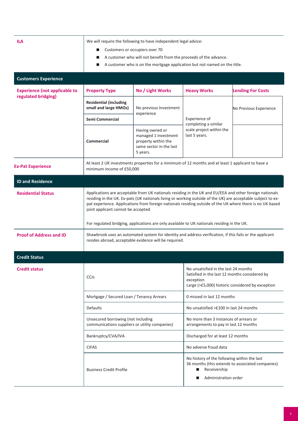| <b>ILA</b>                                                  | We will require the following to have independent legal advice:<br>Customers or occupiers over 70<br>$\blacksquare$<br>A customer who will not benefit from the proceeds of the advance.<br>■<br>A customer who is on the mortgage application but not named on the title.<br>$\blacksquare$                                                                                                                                                                               |                                                                                                       |                                                                                                                                                        |                                                  |  |
|-------------------------------------------------------------|----------------------------------------------------------------------------------------------------------------------------------------------------------------------------------------------------------------------------------------------------------------------------------------------------------------------------------------------------------------------------------------------------------------------------------------------------------------------------|-------------------------------------------------------------------------------------------------------|--------------------------------------------------------------------------------------------------------------------------------------------------------|--------------------------------------------------|--|
| <b>Customers Experience</b>                                 |                                                                                                                                                                                                                                                                                                                                                                                                                                                                            |                                                                                                       |                                                                                                                                                        |                                                  |  |
| <b>Experience (not applicable to</b><br>regulated bridging) | <b>Property Type</b>                                                                                                                                                                                                                                                                                                                                                                                                                                                       | No / Light Works                                                                                      | <b>Heavy Works</b>                                                                                                                                     | <b>Lending For Costs</b>                         |  |
|                                                             | <b>Residential (including</b><br>small and large HMOs)                                                                                                                                                                                                                                                                                                                                                                                                                     | No previous Investment<br>experience                                                                  | Experience of<br>completing a similar<br>scale project within the<br>last 5 years.                                                                     | No Previous Experience                           |  |
|                                                             | Semi Commercial                                                                                                                                                                                                                                                                                                                                                                                                                                                            |                                                                                                       |                                                                                                                                                        |                                                  |  |
|                                                             | <b>Commercial</b>                                                                                                                                                                                                                                                                                                                                                                                                                                                          | Having owned or<br>managed 1 investment<br>property within the<br>same sector in the last<br>5 years. |                                                                                                                                                        |                                                  |  |
| <b>Ex-Pat Experience</b>                                    | At least 2 UK investments properties for a minimum of 12 months and at least 1 applicant to have a<br>minimum income of £50,000                                                                                                                                                                                                                                                                                                                                            |                                                                                                       |                                                                                                                                                        |                                                  |  |
| <b>ID and Residence</b>                                     |                                                                                                                                                                                                                                                                                                                                                                                                                                                                            |                                                                                                       |                                                                                                                                                        |                                                  |  |
| <b>Residential Status</b>                                   | Applications are acceptable from UK nationals residing in the UK and EU/EEA and other foreign nationals<br>residing in the UK. Ex-pats (UK nationals living or working outside of the UK) are acceptable subject to ex-<br>pat experience. Applications from foreign nationals residing outside of the UK where there is no UK based<br>joint applicant cannot be accepted.<br>For regulated bridging, applications are only available to UK nationals residing in the UK. |                                                                                                       |                                                                                                                                                        |                                                  |  |
| <b>Proof of Address and ID</b>                              | Shawbrook uses an automated system for identity and address verification, if this fails or the applicant<br>resides abroad, acceptable evidence will be required.                                                                                                                                                                                                                                                                                                          |                                                                                                       |                                                                                                                                                        |                                                  |  |
| <b>Credit Status</b>                                        |                                                                                                                                                                                                                                                                                                                                                                                                                                                                            |                                                                                                       |                                                                                                                                                        |                                                  |  |
| <b>Credit status</b>                                        | CCJs                                                                                                                                                                                                                                                                                                                                                                                                                                                                       |                                                                                                       | No unsatisfied in the last 24 months<br>Satisfied in the last 12 months considered by<br>exception<br>Large (>£5,000) historic considered by exception |                                                  |  |
|                                                             | Mortgage / Secured Loan / Tenancy Arrears                                                                                                                                                                                                                                                                                                                                                                                                                                  |                                                                                                       | 0 missed in last 12 months                                                                                                                             |                                                  |  |
|                                                             | <b>Defaults</b>                                                                                                                                                                                                                                                                                                                                                                                                                                                            |                                                                                                       | No unsatisfied >£100 in last 24 months                                                                                                                 |                                                  |  |
|                                                             | Unsecured borrowing (not including<br>communications suppliers or utility companies)<br>Bankruptcy/CVA/IVA                                                                                                                                                                                                                                                                                                                                                                 |                                                                                                       | No more than 3 instances of arrears or<br>arrangements to pay in last 12 months                                                                        |                                                  |  |
|                                                             |                                                                                                                                                                                                                                                                                                                                                                                                                                                                            |                                                                                                       | Discharged for at least 12 months                                                                                                                      |                                                  |  |
|                                                             | <b>CIFAS</b>                                                                                                                                                                                                                                                                                                                                                                                                                                                               |                                                                                                       | No adverse fraud data                                                                                                                                  |                                                  |  |
|                                                             | <b>Business Credit Profile</b>                                                                                                                                                                                                                                                                                                                                                                                                                                             |                                                                                                       | No history of the following within the last<br>Receivership<br>■<br>Administration order                                                               | 36 months (this extends to associated companies) |  |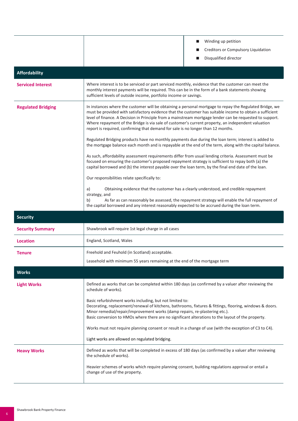|                           | Winding up petition                                                                                                                                                                                                                                                                                                                                                                                                                                                                                                                                                                                                                                                                                                                                                                                                                                                                                                                                         |  |
|---------------------------|-------------------------------------------------------------------------------------------------------------------------------------------------------------------------------------------------------------------------------------------------------------------------------------------------------------------------------------------------------------------------------------------------------------------------------------------------------------------------------------------------------------------------------------------------------------------------------------------------------------------------------------------------------------------------------------------------------------------------------------------------------------------------------------------------------------------------------------------------------------------------------------------------------------------------------------------------------------|--|
|                           | Creditors or Compulsory Liquidation                                                                                                                                                                                                                                                                                                                                                                                                                                                                                                                                                                                                                                                                                                                                                                                                                                                                                                                         |  |
|                           | Disqualified director                                                                                                                                                                                                                                                                                                                                                                                                                                                                                                                                                                                                                                                                                                                                                                                                                                                                                                                                       |  |
| <b>Affordability</b>      |                                                                                                                                                                                                                                                                                                                                                                                                                                                                                                                                                                                                                                                                                                                                                                                                                                                                                                                                                             |  |
| <b>Serviced Interest</b>  | Where interest is to be serviced or part serviced monthly, evidence that the customer can meet the<br>monthly interest payments will be required. This can be in the form of a bank statements showing<br>sufficient levels of outside income, portfolio income or savings.                                                                                                                                                                                                                                                                                                                                                                                                                                                                                                                                                                                                                                                                                 |  |
| <b>Regulated Bridging</b> | In instances where the customer will be obtaining a personal mortgage to repay the Regulated Bridge, we<br>must be provided with satisfactory evidence that the customer has suitable income to obtain a sufficient<br>level of finance. A Decision in Principle from a mainstream mortgage lender can be requested to support.<br>Where repayment of the Bridge is via sale of customer's current property, an independent valuation<br>report is required, confirming that demand for sale is no longer than 12 months.<br>Regulated Bridging products have no monthly payments due during the loan term; interest is added to<br>the mortgage balance each month and is repayable at the end of the term, along with the capital balance.<br>As such, affordability assessment requirements differ from usual lending criteria. Assessment must be<br>focused on ensuring the customer's proposed repayment strategy is sufficient to repay both (a) the |  |
|                           | capital borrowed and (b) the interest payable over the loan term, by the final end date of the loan.<br>Our responsibilities relate specifically to:                                                                                                                                                                                                                                                                                                                                                                                                                                                                                                                                                                                                                                                                                                                                                                                                        |  |
|                           | Obtaining evidence that the customer has a clearly understood, and credible repayment<br>a)<br>strategy, and<br>As far as can reasonably be assessed, the repayment strategy will enable the full repayment of<br>b)<br>the capital borrowed and any interest reasonably expected to be accrued during the loan term.                                                                                                                                                                                                                                                                                                                                                                                                                                                                                                                                                                                                                                       |  |
| <b>Security</b>           |                                                                                                                                                                                                                                                                                                                                                                                                                                                                                                                                                                                                                                                                                                                                                                                                                                                                                                                                                             |  |
| <b>Security Summary</b>   | Shawbrook will require 1st legal charge in all cases                                                                                                                                                                                                                                                                                                                                                                                                                                                                                                                                                                                                                                                                                                                                                                                                                                                                                                        |  |
| <b>Location</b>           | England, Scotland, Wales                                                                                                                                                                                                                                                                                                                                                                                                                                                                                                                                                                                                                                                                                                                                                                                                                                                                                                                                    |  |
| <b>Tenure</b>             | Freehold and Feuhold (in Scotland) acceptable.                                                                                                                                                                                                                                                                                                                                                                                                                                                                                                                                                                                                                                                                                                                                                                                                                                                                                                              |  |
|                           | Leasehold with minimum 55 years remaining at the end of the mortgage term                                                                                                                                                                                                                                                                                                                                                                                                                                                                                                                                                                                                                                                                                                                                                                                                                                                                                   |  |
| <b>Works</b>              |                                                                                                                                                                                                                                                                                                                                                                                                                                                                                                                                                                                                                                                                                                                                                                                                                                                                                                                                                             |  |
| <b>Light Works</b>        | Defined as works that can be completed within 180 days (as confirmed by a valuer after reviewing the<br>schedule of works).                                                                                                                                                                                                                                                                                                                                                                                                                                                                                                                                                                                                                                                                                                                                                                                                                                 |  |
|                           | Basic refurbishment works including, but not limited to:<br>Decorating, replacement/renewal of kitchens, bathrooms, fixtures & fittings, flooring, windows & doors.<br>Minor remedial/repair/improvement works (damp repairs, re-plastering etc.).<br>Basic conversion to HMOs where there are no significant alterations to the layout of the property.                                                                                                                                                                                                                                                                                                                                                                                                                                                                                                                                                                                                    |  |
|                           | Works must not require planning consent or result in a change of use (with the exception of C3 to C4).                                                                                                                                                                                                                                                                                                                                                                                                                                                                                                                                                                                                                                                                                                                                                                                                                                                      |  |
|                           | Light works are allowed on regulated bridging.                                                                                                                                                                                                                                                                                                                                                                                                                                                                                                                                                                                                                                                                                                                                                                                                                                                                                                              |  |
| <b>Heavy Works</b>        | Defined as works that will be completed in excess of 180 days (as confirmed by a valuer after reviewing<br>the schedule of works).                                                                                                                                                                                                                                                                                                                                                                                                                                                                                                                                                                                                                                                                                                                                                                                                                          |  |
|                           | Heavier schemes of works which require planning consent, building regulations approval or entail a<br>change of use of the property.                                                                                                                                                                                                                                                                                                                                                                                                                                                                                                                                                                                                                                                                                                                                                                                                                        |  |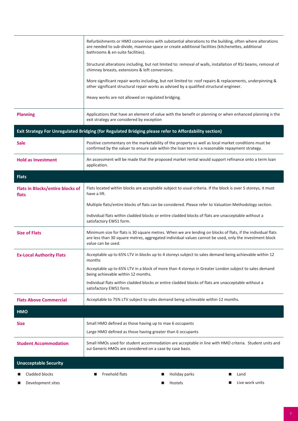|                                                  | Refurbishments or HMO conversions with substantial alterations to the building, often where alterations<br>are needed to sub-divide, maximise space or create additional facilities (kitchenettes, additional<br>bathrooms & en-suite facilities). |               |                 |
|--------------------------------------------------|----------------------------------------------------------------------------------------------------------------------------------------------------------------------------------------------------------------------------------------------------|---------------|-----------------|
|                                                  | Structural alterations including, but not limited to: removal of walls, installation of RSJ beams, removal of<br>chimney breasts, extensions & loft conversions.                                                                                   |               |                 |
|                                                  | More significant repair works including, but not limited to: roof repairs & replacements, underpinning &<br>other significant structural repair works as advised by a qualified structural engineer.                                               |               |                 |
|                                                  | Heavy works are not allowed on regulated bridging.                                                                                                                                                                                                 |               |                 |
| <b>Planning</b>                                  | Applications that have an element of value with the benefit or planning or when enhanced planning is the<br>exit strategy are considered by exception                                                                                              |               |                 |
|                                                  | Exit Strategy For Unregulated Bridging (for Regulated Bridging please refer to Affordability section)                                                                                                                                              |               |                 |
| <b>Sale</b>                                      | Positive commentary on the marketability of the property as well as local market conditions must be<br>confirmed by the valuer to ensure sale within the loan term is a reasonable repayment strategy.                                             |               |                 |
| <b>Hold as Investment</b>                        | An assessment will be made that the proposed market rental would support refinance onto a term loan<br>application.                                                                                                                                |               |                 |
| <b>Flats</b>                                     |                                                                                                                                                                                                                                                    |               |                 |
| <b>Flats in Blocks/entire blocks of</b><br>flats | Flats located within blocks are acceptable subject to usual criteria. If the block is over 5 storeys, it must<br>have a lift.                                                                                                                      |               |                 |
|                                                  | Multiple flats/entire blocks of flats can be considered. Please refer to Valuation Methodology section.                                                                                                                                            |               |                 |
|                                                  | Individual flats within cladded blocks or entire cladded blocks of flats are unacceptable without a<br>satisfactory EWS1 form.                                                                                                                     |               |                 |
| <b>Size of Flats</b>                             | Minimum size for flats is 30 square metres. When we are lending on blocks of flats, if the individual flats<br>are less than 30 square metres, aggregated individual values cannot be used, only the investment block<br>value can be used.        |               |                 |
| <b>Ex-Local Authority Flats</b>                  | Acceptable up to 65% LTV in blocks up to 4 storeys subject to sales demand being achievable within 12<br>months                                                                                                                                    |               |                 |
|                                                  | Acceptable up to 65% LTV in a block of more than 4 storeys in Greater London subject to sales demand<br>being achievable within 12 months.                                                                                                         |               |                 |
|                                                  | Individual flats within cladded blocks or entire cladded blocks of flats are unacceptable without a<br>satisfactory EWS1 form.                                                                                                                     |               |                 |
| <b>Flats Above Commercial</b>                    | Acceptable to 75% LTV subject to sales demand being achievable within 12 months.                                                                                                                                                                   |               |                 |
| HMO                                              |                                                                                                                                                                                                                                                    |               |                 |
| <b>Size</b>                                      | Small HMO defined as those having up to max 6 occupants                                                                                                                                                                                            |               |                 |
|                                                  | Large HMO defined as those having greater than 6 occupants                                                                                                                                                                                         |               |                 |
| <b>Student Accommodation</b>                     | Small HMOs used for student accommodation are acceptable in line with HMO criteria. Student units and<br>sui Generis HMOs are considered on a case by case basis.                                                                                  |               |                 |
| <b>Unacceptable Security</b>                     |                                                                                                                                                                                                                                                    |               |                 |
| Cladded blocks                                   | Freehold flats<br>ш                                                                                                                                                                                                                                | Holiday parks | Land            |
| Development sites                                |                                                                                                                                                                                                                                                    | Hostels<br>ш  | Live work units |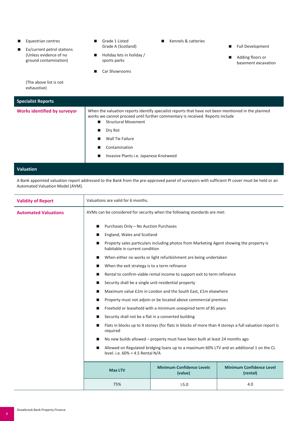| Equestrian centres<br>ш<br>Ex/current petrol stations<br>ш<br>(Unless evidence of no<br>ground contamination) | Kennels & catteries<br>Grade 1 Listed<br>■<br>ш<br>Grade A (Scotland)<br>Holiday lets in holiday /<br><b>In</b><br>sports parks<br>Car Showrooms<br>ш                                                                                                                                                                   | <b>Full Development</b><br>Adding floors or<br>basement excavation |
|---------------------------------------------------------------------------------------------------------------|-------------------------------------------------------------------------------------------------------------------------------------------------------------------------------------------------------------------------------------------------------------------------------------------------------------------------|--------------------------------------------------------------------|
| (The above list is not<br>exhaustive)                                                                         |                                                                                                                                                                                                                                                                                                                         |                                                                    |
| <b>Specialist Reports</b>                                                                                     |                                                                                                                                                                                                                                                                                                                         |                                                                    |
| <b>Works identified by surveyor</b>                                                                           | When the valuation reports identify specialist reports that have not been mentioned in the planned<br>works we cannot proceed until further commentary is received. Reports include<br><b>Structural Movement</b><br>■<br>Dry Rot<br><b>Wall Tie Failure</b><br>Contamination<br>Invasive Plants i.e. Japanese Knotweed |                                                                    |

## **Valuation**

A Bank appointed valuation report addressed to the Bank from the pre-approved panel of surveyors with sufficient PI cover must be held or an Automated Valuation Model (AVM).

| <b>Validity of Report</b>   | Valuations are valid for 6 months.                                                                                               |                                                                          |  |
|-----------------------------|----------------------------------------------------------------------------------------------------------------------------------|--------------------------------------------------------------------------|--|
| <b>Automated Valuations</b> | AVMs can be considered for security when the following standards are met:                                                        |                                                                          |  |
|                             | Purchases Only - No Auction Purchases<br>п                                                                                       |                                                                          |  |
|                             | England, Wales and Scotland                                                                                                      |                                                                          |  |
|                             | Property sales particulars including photos from Marketing Agent showing the property is<br>habitable in current condition       |                                                                          |  |
|                             |                                                                                                                                  | When either no works or light refurbishment are being undertaken         |  |
|                             | When the exit strategy is to a term refinance<br>ш                                                                               |                                                                          |  |
|                             |                                                                                                                                  | Rental to confirm viable rental income to support exit to term refinance |  |
|                             | Security shall be a single unit-residential property<br>ш                                                                        |                                                                          |  |
|                             | Maximum value £2m in London and the South East, £1m elsewhere                                                                    |                                                                          |  |
|                             |                                                                                                                                  | Property must not adjoin or be located above commercial premises         |  |
|                             |                                                                                                                                  | Freehold or leasehold with a minimum unexpired term of 85 years          |  |
|                             | Security shall not be a flat in a converted building                                                                             |                                                                          |  |
|                             | Flats in blocks up to 4 storeys (for flats in blocks of more than 4 storeys a full valuation report is<br>required               |                                                                          |  |
|                             | No new builds allowed – property must have been built at least 24 months ago                                                     |                                                                          |  |
|                             | Allowed on Regulated bridging loans up to a maximum 60% LTV and an additional 1 on the CL<br>level. i.e. $60\% = 4.5$ Rental N/A |                                                                          |  |
|                             | <b>Minimum Confidence Levels</b><br><b>Minimum Confidence Level</b><br><b>Max LTV</b><br>(rental)<br>(value)                     |                                                                          |  |
|                             | 75%<br>4.0<br>$\geq 5.0$                                                                                                         |                                                                          |  |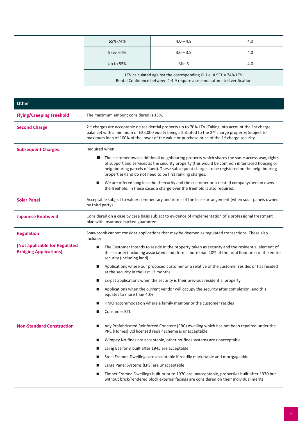| 65%-74%                                                                                                                                     | $4.0 - 4.9$      | 4.0 |
|---------------------------------------------------------------------------------------------------------------------------------------------|------------------|-----|
| 55%-64%                                                                                                                                     | $3.0 - 3.9$      | 4.0 |
| Up to 55%                                                                                                                                   | Min <sub>3</sub> | 4.0 |
| LTV calculated against the corresponding CL i.e. 4.9CL = 74% LTV<br>Rental Confidence between 4-4.9 require a second automated verification |                  |     |

| Other                                                          |                                                                                                                                                                                                                                                                                                                                                               |  |
|----------------------------------------------------------------|---------------------------------------------------------------------------------------------------------------------------------------------------------------------------------------------------------------------------------------------------------------------------------------------------------------------------------------------------------------|--|
| <b>Flying/Creeping Freehold</b>                                | The maximum amount considered is 15%.                                                                                                                                                                                                                                                                                                                         |  |
| <b>Second Charge</b>                                           | 2 <sup>nd</sup> charges are acceptable on residential property up to 70% LTV (Taking into account the 1st charge<br>balance) with a minimum of £25,000 equity being attributed to the 2 <sup>nd</sup> charge property; Subject to<br>maximum loan of 100% of the lower of the value or purchase price of the 1 <sup>st</sup> charge security.                 |  |
| <b>Subsequent Charges</b>                                      | Required when:                                                                                                                                                                                                                                                                                                                                                |  |
|                                                                | The customer owns additional neighbouring property which shares the same access way, rights<br>ш<br>of support and services as the security property (this would be common in terraced housing or<br>neighbouring parcels of land). These subsequent charges to be registered on the neighbouring<br>properties/land do not need to be first ranking charges. |  |
|                                                                | We are offered long leasehold security and the customer or a related company/person owns<br>the freehold. In these cases a charge over the freehold is also required.                                                                                                                                                                                         |  |
| <b>Solar Panel</b>                                             | Acceptable subject to valuer commentary and terms of the lease arrangement (when solar panels owned<br>by third party).                                                                                                                                                                                                                                       |  |
| <b>Japanese Knotweed</b>                                       | Considered on a case by case basis subject to evidence of implementation of a professional treatment<br>plan with insurance backed guarantee.                                                                                                                                                                                                                 |  |
| <b>Regulation</b>                                              | Shawbrook cannot consider applications that may be deemed as regulated transactions. These also<br>include:                                                                                                                                                                                                                                                   |  |
| (Not applicable for Regulated<br><b>Bridging Applications)</b> | The Customer intends to reside in the property taken as security and the residential element of<br>ш<br>the security (including associated land) forms more than 40% of the total floor area of the entire<br>security (including land).                                                                                                                      |  |
|                                                                | Applications where our proposed customer or a relative of the customer resides or has resided<br>at the security in the last 12 months                                                                                                                                                                                                                        |  |
|                                                                | Ex-pat applications when the security is their previous residential property                                                                                                                                                                                                                                                                                  |  |
|                                                                | Applications when the current vendor will occupy the security after completion, and this<br>ш<br>equates to more than 40%                                                                                                                                                                                                                                     |  |
|                                                                | HMO accommodation where a family member or the customer resides                                                                                                                                                                                                                                                                                               |  |
|                                                                | <b>Consumer BTL</b>                                                                                                                                                                                                                                                                                                                                           |  |
| <b>Non-Standard Construction</b>                               | Any Prefabricated Reinforced Concrete (PRC) dwelling which has not been repaired under the<br>$\blacksquare$<br>PRC (Homes) Ltd licensed repair scheme is unacceptable.                                                                                                                                                                                       |  |
|                                                                | Wimpey No-fines are acceptable, other no-fines systems are unacceptable<br>■                                                                                                                                                                                                                                                                                  |  |
|                                                                | Laing Easiform built after 1945 are acceptable                                                                                                                                                                                                                                                                                                                |  |
|                                                                | Steel Framed Dwellings are acceptable if readily marketable and mortgageable                                                                                                                                                                                                                                                                                  |  |
|                                                                | Large Panel Systems (LPS) are unacceptable<br>■                                                                                                                                                                                                                                                                                                               |  |
|                                                                | Timber Framed Dwellings built prior to 1970 are unacceptable, properties built after 1970 but<br>■<br>without brick/rendered block external facings are considered on their individual merits                                                                                                                                                                 |  |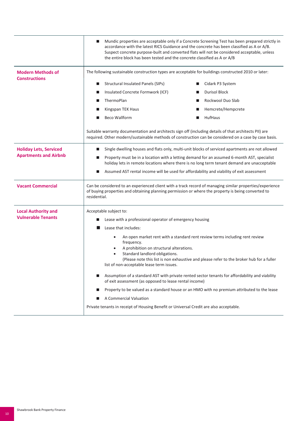|                                                               | Mundic properties are acceptable only if a Concrete Screening Test has been prepared strictly in<br>ш<br>accordance with the latest RICS Guidance and the concrete has been classified as A or A/B.<br>Suspect concrete purpose-built and converted flats will not be considered acceptable, unless<br>the entire block has been tested and the concrete classified as A or A/B |
|---------------------------------------------------------------|---------------------------------------------------------------------------------------------------------------------------------------------------------------------------------------------------------------------------------------------------------------------------------------------------------------------------------------------------------------------------------|
| <b>Modern Methods of</b><br><b>Constructions</b>              | The following sustainable construction types are acceptable for buildings constructed 2010 or later:                                                                                                                                                                                                                                                                            |
|                                                               | Structural Insulated Panels (SIPs)<br>Cidark P3 System                                                                                                                                                                                                                                                                                                                          |
|                                                               | <b>Durisol Block</b><br>Insulated Concrete Formwork (ICF)<br>ш                                                                                                                                                                                                                                                                                                                  |
|                                                               | ThermoPlan<br>Rockwool Duo Slab<br>ш                                                                                                                                                                                                                                                                                                                                            |
|                                                               | Hemcrete/Hempcrete<br>Kingspan TEK Haus<br>■                                                                                                                                                                                                                                                                                                                                    |
|                                                               | <b>Beco Wallform</b><br>HufHaus                                                                                                                                                                                                                                                                                                                                                 |
|                                                               | Suitable warranty documentation and architects sign off (including details of that architects PII) are<br>required. Other modern/sustainable methods of construction can be considered on a case by case basis.                                                                                                                                                                 |
| <b>Holiday Lets, Serviced</b><br><b>Apartments and Airbnb</b> | Single dwelling houses and flats only, multi-unit blocks of serviced apartments are not allowed                                                                                                                                                                                                                                                                                 |
|                                                               | Property must be in a location with a letting demand for an assumed 6-month AST, specialist<br>ш<br>holiday lets in remote locations where there is no long term tenant demand are unacceptable                                                                                                                                                                                 |
|                                                               | Assumed AST rental income will be used for affordability and viability of exit assessment                                                                                                                                                                                                                                                                                       |
| <b>Vacant Commercial</b>                                      | Can be considered to an experienced client with a track record of managing similar properties/experience<br>of buying properties and obtaining planning permission or where the property is being converted to<br>residential.                                                                                                                                                  |
| <b>Local Authority and</b>                                    | Acceptable subject to:                                                                                                                                                                                                                                                                                                                                                          |
| <b>Vulnerable Tenants</b>                                     | Lease with a professional operator of emergency housing                                                                                                                                                                                                                                                                                                                         |
|                                                               | Lease that includes:                                                                                                                                                                                                                                                                                                                                                            |
|                                                               | An open market rent with a standard rent review terms including rent review<br>frequency.<br>A prohibition on structural alterations.                                                                                                                                                                                                                                           |
|                                                               | Standard landlord obligations.<br>(Please note this list is non exhaustive and please refer to the broker hub for a fuller<br>list of non-acceptable lease term issues.                                                                                                                                                                                                         |
|                                                               | Assumption of a standard AST with private rented sector tenants for affordability and viability<br>of exit assessment (as opposed to lease rental income)                                                                                                                                                                                                                       |
|                                                               | Property to be valued as a standard house or an HMO with no premium attributed to the lease<br>ш                                                                                                                                                                                                                                                                                |
|                                                               | A Commercial Valuation                                                                                                                                                                                                                                                                                                                                                          |
|                                                               | Private tenants in receipt of Housing Benefit or Universal Credit are also acceptable.                                                                                                                                                                                                                                                                                          |